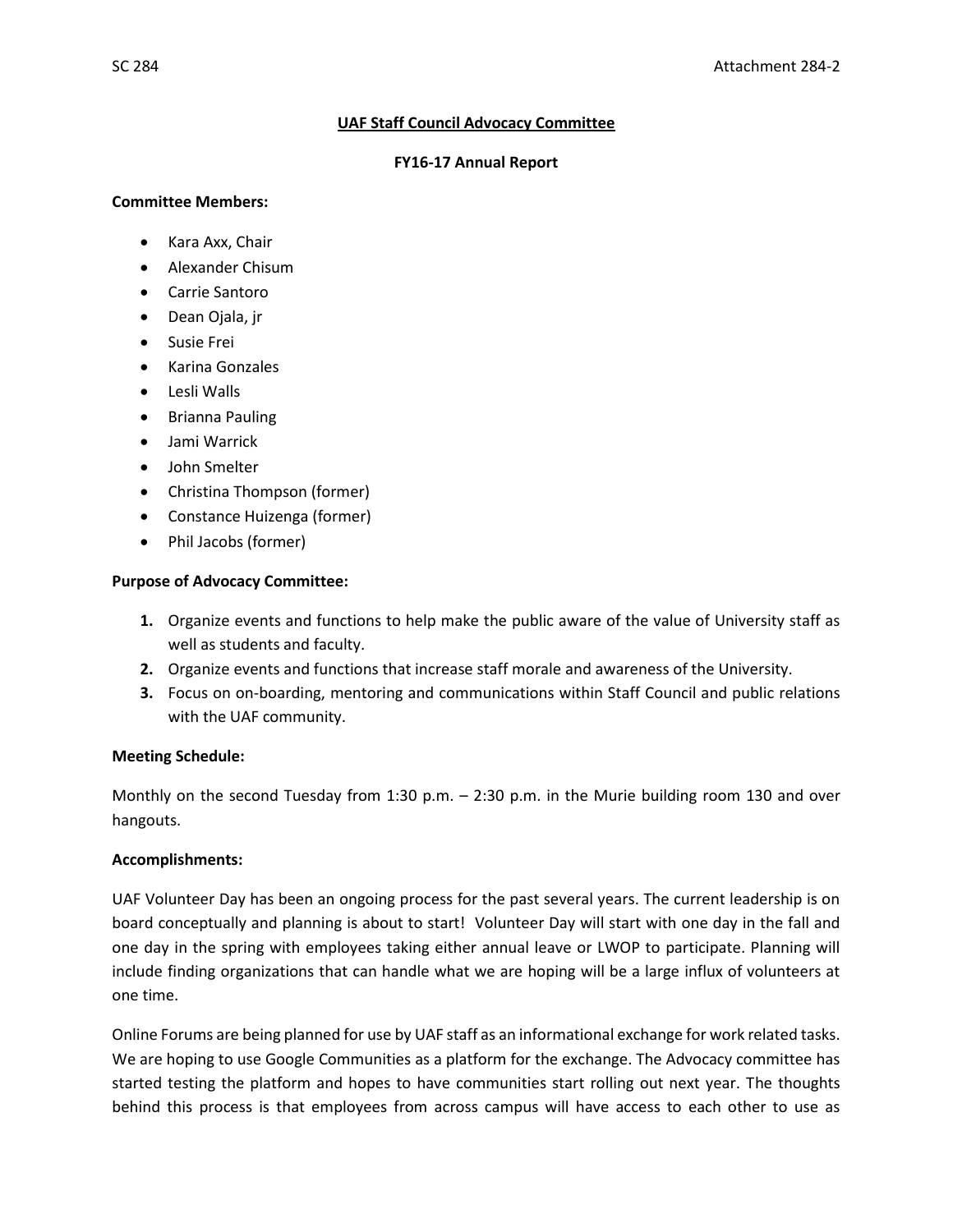### **UAF Staff Council Advocacy Committee**

#### **FY16-17 Annual Report**

#### **Committee Members:**

- Kara Axx, Chair
- Alexander Chisum
- Carrie Santoro
- Dean Ojala, jr
- Susie Frei
- Karina Gonzales
- Lesli Walls
- **•** Brianna Pauling
- Jami Warrick
- John Smelter
- Christina Thompson (former)
- Constance Huizenga (former)
- Phil Jacobs (former)

# **Purpose of Advocacy Committee:**

- **1.** Organize events and functions to help make the public aware of the value of University staff as well as students and faculty.
- **2.** Organize events and functions that increase staff morale and awareness of the University.
- **3.** Focus on on-boarding, mentoring and communications within Staff Council and public relations with the UAF community.

# **Meeting Schedule:**

Monthly on the second Tuesday from 1:30 p.m. – 2:30 p.m. in the Murie building room 130 and over hangouts.

# **Accomplishments:**

UAF Volunteer Day has been an ongoing process for the past several years. The current leadership is on board conceptually and planning is about to start! Volunteer Day will start with one day in the fall and one day in the spring with employees taking either annual leave or LWOP to participate. Planning will include finding organizations that can handle what we are hoping will be a large influx of volunteers at one time.

Online Forums are being planned for use by UAF staff as an informational exchange for work related tasks. We are hoping to use Google Communities as a platform for the exchange. The Advocacy committee has started testing the platform and hopes to have communities start rolling out next year. The thoughts behind this process is that employees from across campus will have access to each other to use as